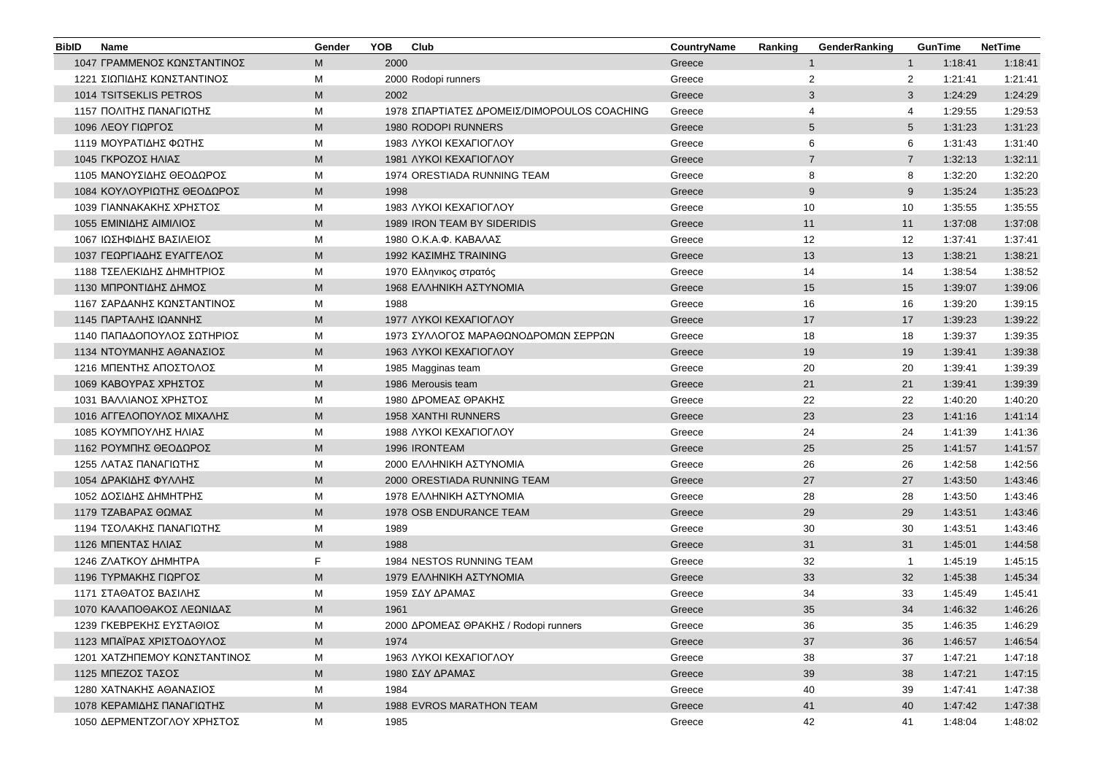| <b>BibID</b> | <b>Name</b>                  | Gender                                                                                                     | <b>YOB</b> | Club                                        | CountryName | Ranking | GenderRanking  |                | <b>GunTime</b> | <b>NetTime</b> |
|--------------|------------------------------|------------------------------------------------------------------------------------------------------------|------------|---------------------------------------------|-------------|---------|----------------|----------------|----------------|----------------|
|              | 1047 ΓΡΑΜΜΕΝΟΣ ΚΩΝΣΤΑΝΤΙΝΟΣ  | M                                                                                                          | 2000       |                                             | Greece      |         | $\mathbf{1}$   | $\mathbf{1}$   | 1:18:41        | 1:18:41        |
|              | 1221 ΣΙΩΠΙΔΗΣ ΚΩΝΣΤΑΝΤΙΝΟΣ   | М                                                                                                          |            | 2000 Rodopi runners                         | Greece      |         | $\overline{2}$ | $\overline{2}$ | 1:21:41        | 1:21:41        |
|              | 1014 TSITSEKLIS PETROS       | M                                                                                                          | 2002       |                                             | Greece      |         | 3              | 3              | 1:24:29        | 1:24:29        |
|              | 1157 ΠΟΛΙΤΗΣ ΠΑΝΑΓΙΩΤΗΣ      | М                                                                                                          |            | 1978 ΣΠΑΡΤΙΑΤΕΣ ΔΡΟΜΕΙΣ/DIMOPOULOS COACHING | Greece      |         | $\overline{4}$ | 4              | 1:29:55        | 1:29:53        |
|              | 1096 ΛΕΟΥ ΓΙΩΡΓΟΣ            | M                                                                                                          |            | 1980 RODOPI RUNNERS                         | Greece      |         | 5              | 5              | 1:31:23        | 1:31:23        |
|              | 1119 ΜΟΥΡΑΤΙΔΗΣ ΦΩΤΗΣ        | M                                                                                                          |            | 1983 AYKOI KEXAFIOFAOY                      | Greece      |         | 6              | 6              | 1:31:43        | 1:31:40        |
|              | 1045 ΓΚΡΟΖΟΣ ΗΛΙΑΣ           | M                                                                                                          |            | 1981 AYKOI KEXAFIOFAOY                      | Greece      |         | $\overline{7}$ | $\overline{7}$ | 1:32:13        | 1:32:11        |
|              | 1105 ΜΑΝΟΥΣΙΔΗΣ ΘΕΟΔΩΡΟΣ     | M                                                                                                          |            | 1974 ORESTIADA RUNNING TEAM                 | Greece      |         | 8              | 8              | 1:32:20        | 1:32:20        |
|              | 1084 ΚΟΥΛΟΥΡΙΩΤΗΣ ΘΕΟΔΩΡΟΣ   | M                                                                                                          | 1998       |                                             | Greece      |         | 9              | 9              | 1:35:24        | 1:35:23        |
|              | 1039 ΓΙΑΝΝΑΚΑΚΗΣ ΧΡΗΣΤΟΣ     | M                                                                                                          |            | 1983 AYKOI KEXAFIOFAOY                      | Greece      |         | 10             | 10             | 1:35:55        | 1:35:55        |
|              | 1055 ΕΜΙΝΙΔΗΣ ΑΙΜΙΛΙΟΣ       | M                                                                                                          |            | 1989 IRON TEAM BY SIDERIDIS                 | Greece      |         | 11             | 11             | 1:37:08        | 1:37:08        |
|              | 1067 ΙΩΣΗΦΙΔΗΣ ΒΑΣΙΛΕΙΟΣ     | М                                                                                                          |            | 1980 Ο.Κ.Α.Φ. ΚΑΒΑΛΑΣ                       | Greece      |         | 12             | 12             | 1:37:41        | 1:37:41        |
|              | 1037 ΓΕΩΡΓΙΑΔΗΣ ΕΥΑΓΓΕΛΟΣ    | M                                                                                                          |            | 1992 ΚΑΣΙΜΗΣ TRAINING                       | Greece      |         | 13             | 13             | 1:38:21        | 1:38:21        |
|              | 1188 ΤΣΕΛΕΚΙΔΗΣ ΔΗΜΗΤΡΙΟΣ    | М                                                                                                          |            | 1970 Ελληνικος στρατός                      | Greece      |         | 14             | 14             | 1:38:54        | 1:38:52        |
|              | 1130 ΜΠΡΟΝΤΙΔΗΣ ΔΗΜΟΣ        | M                                                                                                          |            | 1968 ΕΛΛΗΝΙΚΗ ΑΣΤΥΝΟΜΙΑ                     | Greece      |         | 15             | 15             | 1:39:07        | 1:39:06        |
|              | 1167 ΣΑΡΔΑΝΗΣ ΚΩΝΣΤΑΝΤΙΝΟΣ   | М                                                                                                          | 1988       |                                             | Greece      |         | 16             | 16             | 1:39:20        | 1:39:15        |
|              | 1145 ΠΑΡΤΑΛΗΣ ΙΩΑΝΝΗΣ        | M                                                                                                          |            | 1977 AYKOI KEXAFIOFAOY                      | Greece      |         | 17             | 17             | 1:39:23        | 1:39:22        |
|              | 1140 ΠΑΠΑΔΟΠΟΥΛΟΣ ΣΩΤΗΡΙΟΣ   | M                                                                                                          |            | 1973 ΣΥΛΛΟΓΟΣ ΜΑΡΑΘΩΝΟΔΡΟΜΩΝ ΣΕΡΡΩΝ         | Greece      |         | 18             | 18             | 1:39:37        | 1:39:35        |
|              | 1134 ΝΤΟΥΜΑΝΗΣ ΑΘΑΝΑΣΙΟΣ     | ${\sf M}$                                                                                                  |            | 1963 AYKOI KEXAFIOFAOY                      | Greece      |         | 19             | 19             | 1:39:41        | 1:39:38        |
|              | 1216 ΜΠΕΝΤΗΣ ΑΠΟΣΤΟΛΟΣ       | M                                                                                                          |            | 1985 Magginas team                          | Greece      |         | 20             | 20             | 1:39:41        | 1:39:39        |
|              | 1069 ΚΑΒΟΥΡΑΣ ΧΡΗΣΤΟΣ        | M                                                                                                          |            | 1986 Merousis team                          | Greece      |         | 21             | 21             | 1:39:41        | 1:39:39        |
|              | 1031 ΒΑΛΛΙΑΝΟΣ ΧΡΗΣΤΟΣ       | M                                                                                                          |            | 1980 ΔΡΟΜΕΑΣ ΘΡΑΚΗΣ                         | Greece      |         | 22             | 22             | 1:40:20        | 1:40:20        |
|              | 1016 ΑΓΓΕΛΟΠΟΥΛΟΣ ΜΙΧΑΛΗΣ    | $\mathsf{M}% _{T}=\mathsf{M}_{T}\!\left( a,b\right) ,\ \mathsf{M}_{T}=\mathsf{M}_{T}\!\left( a,b\right) ,$ |            | <b>1958 XANTHI RUNNERS</b>                  | Greece      |         | 23             | 23             | 1:41:16        | 1:41:14        |
|              | 1085 ΚΟΥΜΠΟΥΛΗΣ ΗΛΙΑΣ        | M                                                                                                          |            | 1988 AYKOI KEXAFIOFAOY                      | Greece      |         | 24             | 24             | 1:41:39        | 1:41:36        |
|              | 1162 ΡΟΥΜΠΗΣ ΘΕΟΔΩΡΟΣ        | M                                                                                                          |            | 1996 IRONTEAM                               | Greece      |         | 25             | 25             | 1:41:57        | 1:41:57        |
|              | 1255 ΛΑΤΑΣ ΠΑΝΑΓΙΩΤΗΣ        | M                                                                                                          |            | 2000 ΕΛΛΗΝΙΚΗ ΑΣΤΥΝΟΜΙΑ                     | Greece      |         | 26             | 26             | 1:42:58        | 1:42:56        |
|              | 1054 ΔΡΑΚΙΔΗΣ ΦΥΛΛΗΣ         | M                                                                                                          |            | 2000 ORESTIADA RUNNING TEAM                 | Greece      |         | 27             | 27             | 1:43:50        | 1:43:46        |
|              | 1052 ΔΟΣΙΔΗΣ ΔΗΜΗΤΡΗΣ        | М                                                                                                          |            | 1978 ΕΛΛΗΝΙΚΗ ΑΣΤΥΝΟΜΙΑ                     | Greece      |         | 28             | 28             | 1:43:50        | 1:43:46        |
|              | 1179 ΤΖΑΒΑΡΑΣ ΘΩΜΑΣ          | M                                                                                                          |            | 1978 OSB ENDURANCE TEAM                     | Greece      |         | 29             | 29             | 1:43:51        | 1:43:46        |
|              | 1194 ΤΣΟΛΑΚΗΣ ΠΑΝΑΓΙΩΤΗΣ     | М                                                                                                          | 1989       |                                             | Greece      |         | 30             | 30             | 1:43:51        | 1:43:46        |
|              | 1126 ΜΠΕΝΤΑΣ ΗΛΙΑΣ           | M                                                                                                          | 1988       |                                             | Greece      |         | 31             | 31             | 1:45:01        | 1:44:58        |
|              | 1246 ΖΛΑΤΚΟΥ ΔΗΜΗΤΡΑ         | F.                                                                                                         |            | 1984 NESTOS RUNNING TEAM                    | Greece      |         | 32             | $\overline{1}$ | 1:45:19        | 1:45:15        |
|              | 1196 ΤΥΡΜΑΚΗΣ ΓΙΩΡΓΟΣ        | M                                                                                                          |            | 1979 ΕΛΛΗΝΙΚΗ ΑΣΤΥΝΟΜΙΑ                     | Greece      |         | 33             | 32             | 1:45:38        | 1:45:34        |
|              | 1171 ΣΤΑΘΑΤΟΣ ΒΑΣΙΛΗΣ        | M                                                                                                          |            | 1959 ΣΔΥ ΔΡΑΜΑΣ                             | Greece      |         | 34             | 33             | 1:45:49        | 1:45:41        |
|              | 1070 ΚΑΛΑΠΟΘΑΚΟΣ ΛΕΩΝΙΔΑΣ    | M                                                                                                          | 1961       |                                             | Greece      |         | 35             | 34             | 1:46:32        | 1:46:26        |
|              | 1239 ΓΚΕΒΡΕΚΗΣ ΕΥΣΤΑΘΙΟΣ     | М                                                                                                          |            | 2000 ΔΡΟΜΕΑΣ ΘΡΑΚΗΣ / Rodopi runners        | Greece      |         | 36             | 35             | 1:46:35        | 1:46:29        |
|              | 1123 ΜΠΑΪΡΑΣ ΧΡΙΣΤΟΔΟΥΛΟΣ    | M                                                                                                          | 1974       |                                             | Greece      |         | 37             | 36             | 1:46:57        | 1:46:54        |
|              | 1201 ΧΑΤΖΗΠΕΜΟΥ ΚΩΝΣΤΑΝΤΙΝΟΣ | M                                                                                                          |            | 1963 AYKOI KEXAFIOFAOY                      | Greece      |         | 38             | 37             | 1:47:21        | 1:47:18        |
|              | 1125 ΜΠΕΖΟΣ ΤΑΣΟΣ            | M                                                                                                          |            | 1980 ΣΔΥ ΔΡΑΜΑΣ                             | Greece      |         | 39             | 38             | 1:47:21        | 1:47:15        |
|              | 1280 ΧΑΤΝΑΚΗΣ ΑΘΑΝΑΣΙΟΣ      | М                                                                                                          | 1984       |                                             | Greece      |         | 40             | 39             | 1:47:41        | 1:47:38        |
|              | 1078 ΚΕΡΑΜΙΔΗΣ ΠΑΝΑΓΙΩΤΗΣ    | M                                                                                                          |            | 1988 EVROS MARATHON TEAM                    | Greece      |         | 41             | 40             | 1:47:42        | 1:47:38        |
|              | 1050 ΔΕΡΜΕΝΤΖΟΓΛΟΥ ΧΡΗΣΤΟΣ   | М                                                                                                          | 1985       |                                             | Greece      |         | 42             | 41             | 1:48:04        | 1:48:02        |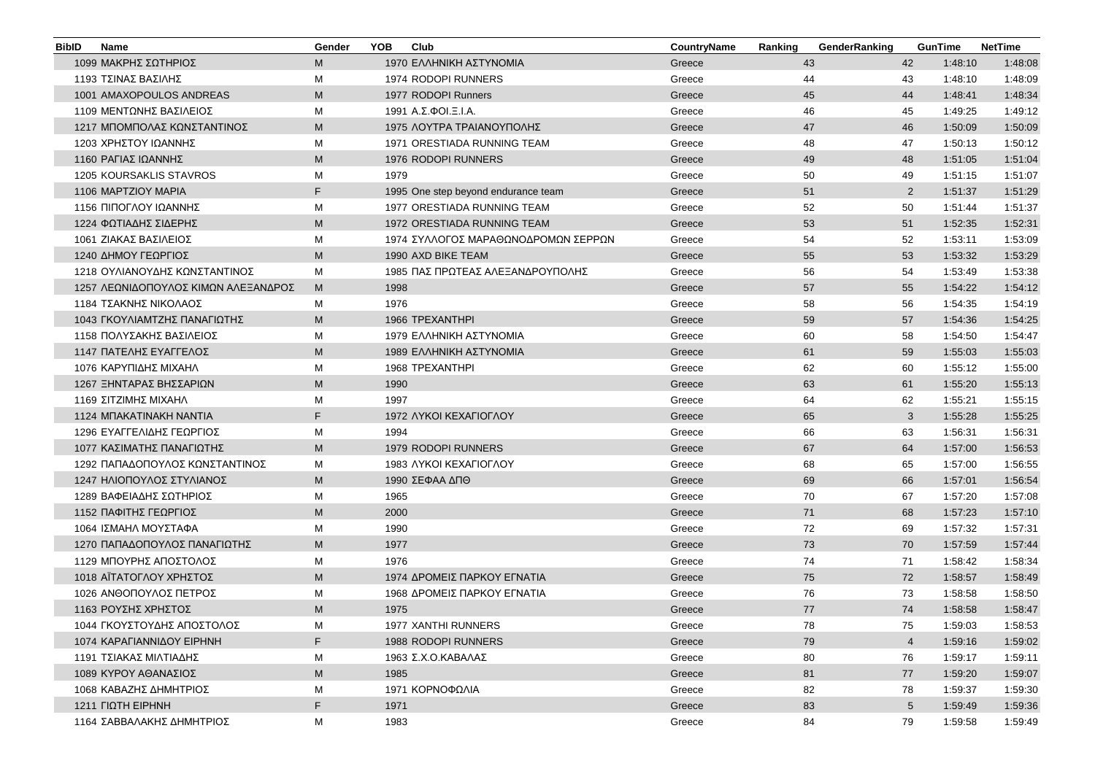| <b>BibID</b> | <b>Name</b>                         | Gender | YOB  | Club                                | CountryName | Ranking | GenderRanking |                 | <b>GunTime</b> | <b>NetTime</b> |
|--------------|-------------------------------------|--------|------|-------------------------------------|-------------|---------|---------------|-----------------|----------------|----------------|
|              | 1099 ΜΑΚΡΗΣ ΣΩΤΗΡΙΟΣ                | М      |      | 1970 ΕΛΛΗΝΙΚΗ ΑΣΤΥΝΟΜΙΑ             | Greece      |         | 43            | 42              | 1:48:10        | 1:48:08        |
|              | 1193 ΤΣΙΝΑΣ ΒΑΣΙΛΗΣ                 | М      |      | 1974 RODOPI RUNNERS                 | Greece      |         | 44            | 43              | 1:48:10        | 1:48:09        |
|              | 1001 AMAXOPOULOS ANDREAS            | M      |      | 1977 RODOPI Runners                 | Greece      |         | 45            | 44              | 1:48:41        | 1:48:34        |
|              | 1109 ΜΕΝΤΩΝΗΣ ΒΑΣΙΛΕΙΟΣ             | М      |      | 1991 Α.Σ.ΦΟΙ.Ξ.Ι.Α.                 | Greece      |         | 46            | 45              | 1:49:25        | 1:49:12        |
|              | 1217 ΜΠΟΜΠΟΛΑΣ ΚΩΝΣΤΑΝΤΙΝΟΣ         | M      |      | 1975 ΛΟΥΤΡΑ ΤΡΑΙΑΝΟΥΠΟΛΗΣ           | Greece      |         | 47            | 46              | 1:50:09        | 1:50:09        |
|              | 1203 ΧΡΗΣΤΟΥ ΙΩΑΝΝΗΣ                | М      |      | 1971 ORESTIADA RUNNING TEAM         | Greece      |         | 48            | 47              | 1:50:13        | 1:50:12        |
|              | 1160 ΡΑΓΙΑΣ ΙΩΑΝΝΗΣ                 | M      |      | 1976 RODOPI RUNNERS                 | Greece      |         | 49            | 48              | 1:51:05        | 1:51:04        |
|              | <b>1205 KOURSAKLIS STAVROS</b>      | М      | 1979 |                                     | Greece      |         | 50            | 49              | 1:51:15        | 1:51:07        |
|              | 1106 MAPTZIOY MAPIA                 | F      |      | 1995 One step beyond endurance team | Greece      |         | 51            | $\overline{2}$  | 1:51:37        | 1:51:29        |
|              | 1156 ΠΙΠΟΓΛΟΥ ΙΩΑΝΝΗΣ               | М      |      | 1977 ORESTIADA RUNNING TEAM         | Greece      |         | 52            | 50              | 1:51:44        | 1:51:37        |
|              | 1224 ΦΩΤΙΑΔΗΣ ΣΙΔΕΡΗΣ               | M      |      | 1972 ORESTIADA RUNNING TEAM         | Greece      |         | 53            | 51              | 1:52:35        | 1:52:31        |
|              | 1061 ΖΙΑΚΑΣ ΒΑΣΙΛΕΙΟΣ               | М      |      | 1974 ΣΥΛΛΟΓΟΣ ΜΑΡΑΘΩΝΟΔΡΟΜΩΝ ΣΕΡΡΩΝ | Greece      |         | 54            | 52              | 1:53:11        | 1:53:09        |
|              | 1240 ΔΗΜΟΥ ΓΕΩΡΓΙΟΣ                 | M      |      | 1990 AXD BIKE TEAM                  | Greece      |         | 55            | 53              | 1:53:32        | 1:53:29        |
|              | 1218 ΟΥΛΙΑΝΟΥΔΗΣ ΚΩΝΣΤΑΝΤΙΝΟΣ       | М      |      | 1985 ΠΑΣ ΠΡΩΤΕΑΣ ΑΛΕΞΑΝΔΡΟΥΠΟΛΗΣ    | Greece      |         | 56            | 54              | 1:53:49        | 1:53:38        |
|              | 1257 ΛΕΩΝΙΔΟΠΟΥΛΟΣ ΚΙΜΩΝ ΑΛΕΞΑΝΔΡΟΣ | M      | 1998 |                                     | Greece      |         | 57            | 55              | 1:54:22        | 1:54:12        |
|              | 1184 ΤΣΑΚΝΗΣ ΝΙΚΟΛΑΟΣ               | М      | 1976 |                                     | Greece      |         | 58            | 56              | 1:54:35        | 1:54:19        |
|              | 1043 ΓΚΟΥΛΙΑΜΤΖΗΣ ΠΑΝΑΓΙΩΤΗΣ        | M      |      | 1966 TPEXANTHPI                     | Greece      |         | 59            | 57              | 1:54:36        | 1:54:25        |
|              | 1158 ΠΟΛΥΣΑΚΗΣ ΒΑΣΙΛΕΙΟΣ            | М      |      | 1979 ΕΛΛΗΝΙΚΗ ΑΣΤΥΝΟΜΙΑ             | Greece      |         | 60            | 58              | 1:54:50        | 1:54:47        |
|              | 1147 ΠΑΤΕΛΗΣ ΕΥΑΓΓΕΛΟΣ              | M      |      | 1989 ΕΛΛΗΝΙΚΗ ΑΣΤΥΝΟΜΙΑ             | Greece      |         | 61            | 59              | 1:55:03        | 1:55:03        |
|              | 1076 ΚΑΡΥΠΙΔΗΣ ΜΙΧΑΗΛ               | М      |      | 1968 TPEXANTHPI                     | Greece      |         | 62            | 60              | 1:55:12        | 1:55:00        |
|              | 1267 ΞΗΝΤΑΡΑΣ ΒΗΣΣΑΡΙΩΝ             | M      | 1990 |                                     | Greece      |         | 63            | 61              | 1:55:20        | 1:55:13        |
|              | 1169 ΣΙΤΖΙΜΗΣ ΜΙΧΑΗΛ                | М      | 1997 |                                     | Greece      |         | 64            | 62              | 1:55:21        | 1:55:15        |
|              | 1124 MIAKATINAKH NANTIA             | F      |      | 1972 AYKOI KEXAFIOFAOY              | Greece      |         | 65            | $\mathbf{3}$    | 1:55:28        | 1:55:25        |
|              | 1296 ΕΥΑΓΓΕΛΙΔΗΣ ΓΕΩΡΓΙΟΣ           | М      | 1994 |                                     | Greece      |         | 66            | 63              | 1:56:31        | 1:56:31        |
|              | 1077 ΚΑΣΙΜΑΤΗΣ ΠΑΝΑΓΙΩΤΗΣ           | M      |      | 1979 RODOPI RUNNERS                 | Greece      |         | 67            | 64              | 1:57:00        | 1:56:53        |
|              | 1292 ΠΑΠΑΔΟΠΟΥΛΟΣ ΚΩΝΣΤΑΝΤΙΝΟΣ      | М      |      | 1983 AYKOI KEXAFIOFAOY              | Greece      |         | 68            | 65              | 1:57:00        | 1:56:55        |
|              | 1247 ΗΛΙΟΠΟΥΛΟΣ ΣΤΥΛΙΑΝΟΣ           | M      |      | 1990 ΣΕΦΑΑ ΔΠΘ                      | Greece      |         | 69            | 66              | 1:57:01        | 1:56:54        |
|              | 1289 ΒΑΦΕΙΑΔΗΣ ΣΩΤΗΡΙΟΣ             | М      | 1965 |                                     | Greece      |         | 70            | 67              | 1:57:20        | 1:57:08        |
|              | 1152 ΠΑΦΙΤΗΣ ΓΕΩΡΓΙΟΣ               | M      | 2000 |                                     | Greece      |         | 71            | 68              | 1:57:23        | 1:57:10        |
|              | 1064 ΙΣΜΑΗΛ ΜΟΥΣΤΑΦΑ                | М      | 1990 |                                     | Greece      |         | 72            | 69              | 1:57:32        | 1:57:31        |
|              | 1270 ΠΑΠΑΔΟΠΟΥΛΟΣ ΠΑΝΑΓΙΩΤΗΣ        | M      | 1977 |                                     | Greece      |         | 73            | 70              | 1:57:59        | 1:57:44        |
|              | 1129 ΜΠΟΥΡΗΣ ΑΠΟΣΤΟΛΟΣ              | М      | 1976 |                                     | Greece      |         | 74            | 71              | 1:58:42        | 1:58:34        |
|              | 1018 ΑΙΤΑΤΟΓΛΟΥ ΧΡΗΣΤΟΣ             | M      |      | 1974 ΔΡΟΜΕΙΣ ΠΑΡΚΟΥ ΕΓΝΑΤΙΑ         | Greece      |         | 75            | 72              | 1:58:57        | 1:58:49        |
|              | 1026 ΑΝΘΟΠΟΥΛΟΣ ΠΕΤΡΟΣ              | М      |      | 1968 ΔΡΟΜΕΙΣ ΠΑΡΚΟΥ ΕΓΝΑΤΙΑ         | Greece      |         | 76            | 73              | 1:58:58        | 1:58:50        |
|              | 1163 ΡΟΥΣΗΣ ΧΡΗΣΤΟΣ                 | M      | 1975 |                                     | Greece      |         | 77            | 74              | 1:58:58        | 1:58:47        |
|              | 1044 ΓΚΟΥΣΤΟΥΔΗΣ ΑΠΟΣΤΟΛΟΣ          | М      |      | 1977 XANTHI RUNNERS                 | Greece      |         | 78            | 75              | 1:59:03        | 1:58:53        |
|              | 1074 ΚΑΡΑΓΙΑΝΝΙΔΟΥ ΕΙΡΗΝΗ           | F.     |      | 1988 RODOPI RUNNERS                 | Greece      |         | 79            | $\overline{4}$  | 1:59:16        | 1:59:02        |
|              | 1191 ΤΣΙΑΚΑΣ ΜΙΛΤΙΑΔΗΣ              | М      |      | 1963 Σ.Χ.Ο.ΚΑΒΑΛΑΣ                  | Greece      |         | 80            | 76              | 1:59:17        | 1:59:11        |
|              | 1089 ΚΥΡΟΥ ΑΘΑΝΑΣΙΟΣ                | M      | 1985 |                                     | Greece      |         | 81            | 77              | 1:59:20        | 1:59:07        |
|              | 1068 ΚΑΒΑΖΗΣ ΔΗΜΗΤΡΙΟΣ              | М      |      | 1971 ΚΟΡΝΟΦΩΛΙΑ                     | Greece      |         | 82            | 78              | 1:59:37        | 1:59:30        |
|              | 1211 $\Gamma$ IQTH EIPHNH           | F.     | 1971 |                                     | Greece      |         | 83            | $5\overline{)}$ | 1:59:49        | 1:59:36        |
|              | 1164 ΣΑΒΒΑΛΑΚΗΣ ΔΗΜΗΤΡΙΟΣ           | Μ      | 1983 |                                     | Greece      |         | 84            | 79              | 1:59:58        | 1:59:49        |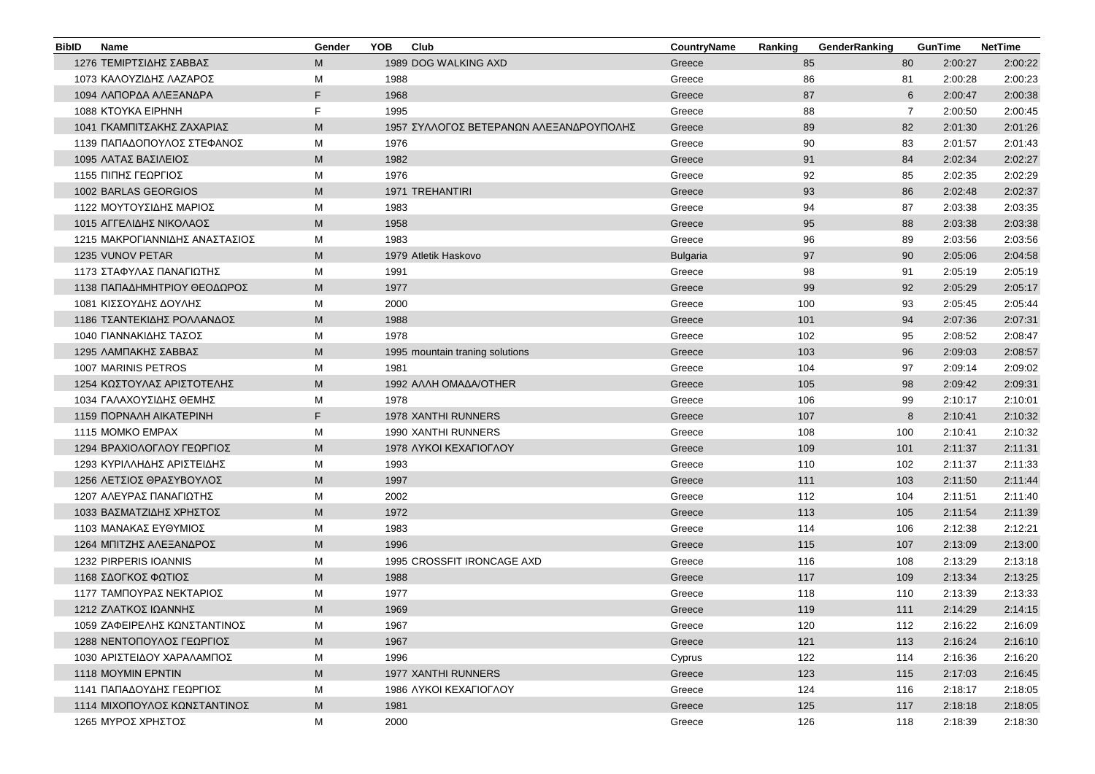| <b>BibID</b> | <b>Name</b>                    | Gender | <b>YOB</b> | Club                                    | CountryName     | Ranking | GenderRanking |                | <b>GunTime</b> | <b>NetTime</b> |
|--------------|--------------------------------|--------|------------|-----------------------------------------|-----------------|---------|---------------|----------------|----------------|----------------|
|              | 1276 ΤΕΜΙΡΤΣΙΔΗΣ ΣΑΒΒΑΣ        | M      |            | 1989 DOG WALKING AXD                    | Greece          |         | 85            | 80             | 2:00:27        | 2:00:22        |
|              | 1073 ΚΑΛΟΥΖΙΔΗΣ ΛΑΖΑΡΟΣ        | M      | 1988       |                                         | Greece          |         | 86            | 81             | 2:00:28        | 2:00:23        |
|              | 1094 ΛΑΠΟΡΔΑ ΑΛΕΞΑΝΔΡΑ         | F.     | 1968       |                                         | Greece          |         | 87            | 6              | 2:00:47        | 2:00:38        |
|              | 1088 KTOYKA EIPHNH             | F      | 1995       |                                         | Greece          |         | 88            | $\overline{7}$ | 2:00:50        | 2:00:45        |
|              | 1041 ΓΚΑΜΠΙΤΣΑΚΗΣ ΖΑΧΑΡΙΑΣ     | M      |            | 1957 ΣΥΛΛΟΓΟΣ ΒΕΤΕΡΑΝΩΝ ΑΛΕΞΑΝΔΡΟΥΠΟΛΗΣ | Greece          |         | 89            | 82             | 2:01:30        | 2:01:26        |
|              | 1139 ΠΑΠΑΔΟΠΟΥΛΟΣ ΣΤΕΦΑΝΟΣ     | M      | 1976       |                                         | Greece          |         | 90            | 83             | 2:01:57        | 2:01:43        |
|              | 1095 ΛΑΤΑΣ ΒΑΣΙΛΕΙΟΣ           | M      | 1982       |                                         | Greece          |         | 91            | 84             | 2:02:34        | 2:02:27        |
|              | 1155 ΠΙΠΗΣ ΓΕΩΡΓΙΟΣ            | М      | 1976       |                                         | Greece          |         | 92            | 85             | 2:02:35        | 2:02:29        |
|              | 1002 BARLAS GEORGIOS           | M      |            | <b>1971 TREHANTIRI</b>                  | Greece          |         | 93            | 86             | 2:02:48        | 2:02:37        |
|              | 1122 ΜΟΥΤΟΥΣΙΔΗΣ ΜΑΡΙΟΣ        | M      | 1983       |                                         | Greece          |         | 94            | 87             | 2:03:38        | 2:03:35        |
|              | 1015 ΑΓΓΕΛΙΔΗΣ ΝΙΚΟΛΑΟΣ        | M      | 1958       |                                         | Greece          |         | 95            | 88             | 2:03:38        | 2:03:38        |
|              | 1215 ΜΑΚΡΟΓΙΑΝΝΙΔΗΣ ΑΝΑΣΤΑΣΙΟΣ | M      | 1983       |                                         | Greece          |         | 96            | 89             | 2:03:56        | 2:03:56        |
|              | 1235 VUNOV PETAR               | M      |            | 1979 Atletik Haskovo                    | <b>Bulgaria</b> |         | 97            | 90             | 2:05:06        | 2:04:58        |
|              | 1173 ΣΤΑΦΥΛΑΣ ΠΑΝΑΓΙΩΤΗΣ       | м      | 1991       |                                         | Greece          |         | 98            | 91             | 2:05:19        | 2:05:19        |
|              | 1138 ΠΑΠΑΔΗΜΗΤΡΙΟΥ ΘΕΟΔΩΡΟΣ    | M      | 1977       |                                         | Greece          |         | 99            | 92             | 2:05:29        | 2:05:17        |
|              | 1081 ΚΙΣΣΟΥΔΗΣ ΔΟΥΛΗΣ          | M      | 2000       |                                         | Greece          | 100     |               | 93             | 2:05:45        | 2:05:44        |
|              | 1186 ΤΣΑΝΤΕΚΙΔΗΣ ΡΟΛΛΑΝΔΟΣ     | M      | 1988       |                                         | Greece          | 101     |               | 94             | 2:07:36        | 2:07:31        |
|              | 1040 ΓΙΑΝΝΑΚΙΔΗΣ ΤΑΣΟΣ         | м      | 1978       |                                         | Greece          | 102     |               | 95             | 2:08:52        | 2:08:47        |
|              | 1295 ΛΑΜΠΑΚΗΣ ΣΑΒΒΑΣ           | M      |            | 1995 mountain traning solutions         | Greece          | 103     |               | 96             | 2:09:03        | 2:08:57        |
|              | 1007 MARINIS PETROS            | M      | 1981       |                                         | Greece          | 104     |               | 97             | 2:09:14        | 2:09:02        |
|              | 1254 ΚΩΣΤΟΥΛΑΣ ΑΡΙΣΤΟΤΕΛΗΣ     | M      |            | 1992 AVVH OMAAA/OTHER                   | Greece          | 105     |               | 98             | 2:09:42        | 2:09:31        |
|              | 1034 ΓΑΛΑΧΟΥΣΙΔΗΣ ΘΕΜΗΣ        | M      | 1978       |                                         | Greece          | 106     |               | 99             | 2:10:17        | 2:10:01        |
|              | 1159 ΠΟΡΝΑΛΗ ΑΙΚΑΤΕΡΙΝΗ        | F      |            | 1978 XANTHI RUNNERS                     | Greece          | 107     |               | 8              | 2:10:41        | 2:10:32        |
|              | 1115 MOMKO EMPAX               | М      |            | 1990 XANTHI RUNNERS                     | Greece          | 108     |               | 100            | 2:10:41        | 2:10:32        |
|              | 1294 ΒΡΑΧΙΟΛΟΓΛΟΥ ΓΕΩΡΓΙΟΣ     | M      |            | 1978 AYKOI KEXAFIOFAOY                  | Greece          | 109     |               | 101            | 2:11:37        | 2:11:31        |
|              | 1293 ΚΥΡΙΛΛΗΔΗΣ ΑΡΙΣΤΕΙΔΗΣ     | M      | 1993       |                                         | Greece          | 110     |               | 102            | 2:11:37        | 2:11:33        |
|              | 1256 ΛΕΤΣΙΟΣ ΘΡΑΣΥΒΟΥΛΟΣ       | M      | 1997       |                                         | Greece          | 111     |               | 103            | 2:11:50        | 2:11:44        |
|              | 1207 ΑΛΕΥΡΑΣ ΠΑΝΑΓΙΩΤΗΣ        | M      | 2002       |                                         | Greece          | 112     |               | 104            | 2:11:51        | 2:11:40        |
|              | 1033 ΒΑΣΜΑΤΖΙΔΗΣ ΧΡΗΣΤΟΣ       | M      | 1972       |                                         | Greece          | 113     |               | 105            | 2:11:54        | 2:11:39        |
|              | 1103 ΜΑΝΑΚΑΣ ΕΥΘΥΜΙΟΣ          | M      | 1983       |                                         | Greece          | 114     |               | 106            | 2:12:38        | 2:12:21        |
|              | 1264 ΜΠΙΤΖΗΣ ΑΛΕΞΑΝΔΡΟΣ        | M      | 1996       |                                         | Greece          | 115     |               | 107            | 2:13:09        | 2:13:00        |
|              | 1232 PIRPERIS IOANNIS          | м      |            | 1995 CROSSFIT IRONCAGE AXD              | Greece          | 116     |               | 108            | 2:13:29        | 2:13:18        |
|              | 1168 ΣΔΟΓΚΟΣ ΦΩΤΙΟΣ            | M      | 1988       |                                         | Greece          | 117     |               | 109            | 2:13:34        | 2:13:25        |
|              | 1177 ΤΑΜΠΟΥΡΑΣ ΝΕΚΤΑΡΙΟΣ       | M      | 1977       |                                         | Greece          | 118     |               | 110            | 2:13:39        | 2:13:33        |
|              | 1212 ΖΛΑΤΚΟΣ ΙΩΑΝΝΗΣ           | M      | 1969       |                                         | Greece          | 119     |               | 111            | 2:14:29        | 2:14:15        |
|              | 1059 ΖΑΦΕΙΡΕΛΗΣ ΚΩΝΣΤΑΝΤΙΝΟΣ   | M      | 1967       |                                         | Greece          | 120     |               | 112            | 2:16:22        | 2:16:09        |
|              | 1288 ΝΕΝΤΟΠΟΥΛΟΣ ΓΕΩΡΓΙΟΣ      | M      | 1967       |                                         | Greece          | 121     |               | 113            | 2:16:24        | 2:16:10        |
|              | 1030 ΑΡΙΣΤΕΙΔΟΥ ΧΑΡΑΛΑΜΠΟΣ     | M      | 1996       |                                         | Cyprus          | 122     |               | 114            | 2:16:36        | 2:16:20        |
|              | <b>1118 MOYMIN EPNTIN</b>      | M      |            | 1977 XANTHI RUNNERS                     | Greece          | 123     |               | 115            | 2:17:03        | 2:16:45        |
|              | 1141 ΠΑΠΑΔΟΥΔΗΣ ΓΕΩΡΓΙΟΣ       | М      |            | 1986 AYKOI KEXAFIOFAOY                  | Greece          | 124     |               | 116            | 2:18:17        | 2:18:05        |
|              | 1114 ΜΙΧΟΠΟΥΛΟΣ ΚΩΝΣΤΑΝΤΙΝΟΣ   | M      | 1981       |                                         | Greece          | 125     |               | 117            | 2:18:18        | 2:18:05        |
|              | 1265 ΜΥΡΟΣ ΧΡΗΣΤΟΣ             | М      | 2000       |                                         | Greece          | 126     |               | 118            | 2:18:39        | 2:18:30        |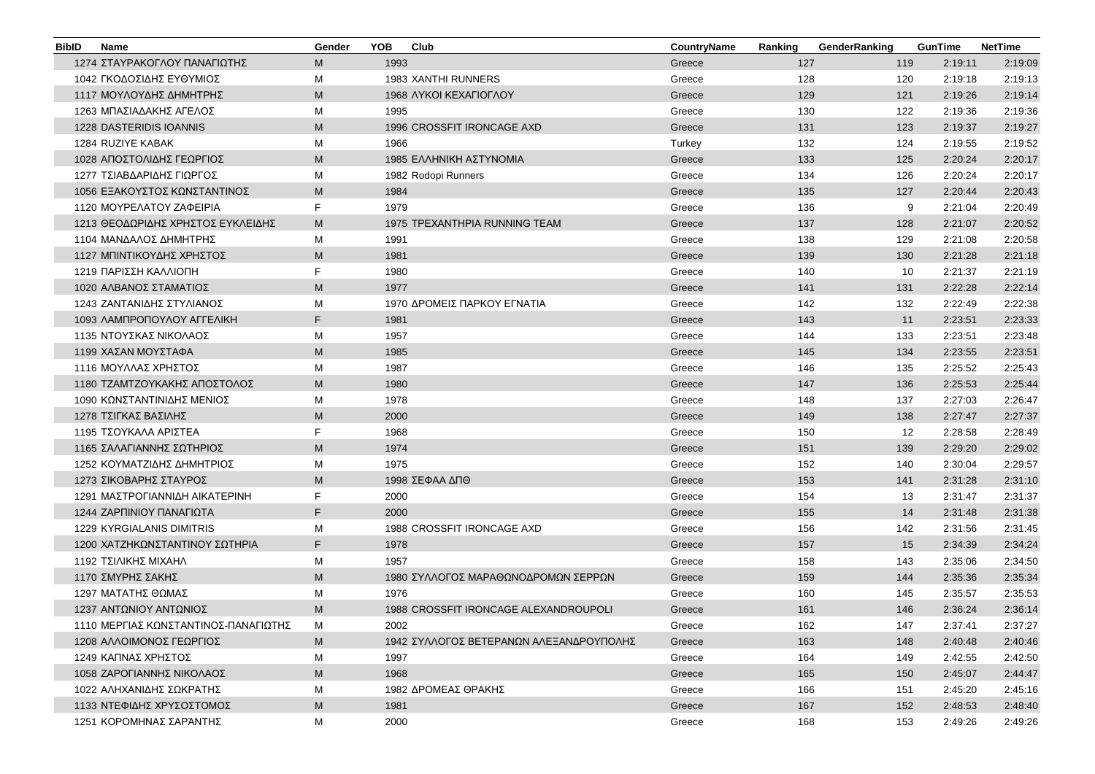| <b>BibID</b> | Name                                 | Gender | <b>YOB</b> | Club                                    | CountryName | Ranking | GenderRanking | <b>GunTime</b> | <b>NetTime</b> |
|--------------|--------------------------------------|--------|------------|-----------------------------------------|-------------|---------|---------------|----------------|----------------|
|              | 1274 ΣΤΑΥΡΑΚΟΓΛΟΥ ΠΑΝΑΓΙΩΤΗΣ         | M      | 1993       |                                         | Greece      | 127     | 119           | 2:19:11        | 2:19:09        |
|              | 1042 ΓΚΟΔΟΣΙΔΗΣ ΕΥΘΥΜΙΟΣ             | м      |            | 1983 XANTHI RUNNERS                     | Greece      | 128     | 120           | 2:19:18        | 2:19:13        |
|              | 1117 ΜΟΥΛΟΥΔΗΣ ΔΗΜΗΤΡΗΣ              | M      |            | 1968 AYKOI KEXAFIOFAOY                  | Greece      | 129     | 121           | 2:19:26        | 2:19:14        |
|              | 1263 ΜΠΑΣΙΑΔΑΚΗΣ ΑΓΕΛΟΣ              | M      | 1995       |                                         | Greece      | 130     | 122           | 2:19:36        | 2:19:36        |
|              | 1228 DASTERIDIS IOANNIS              | M      |            | 1996 CROSSFIT IRONCAGE AXD              | Greece      | 131     | 123           | 2:19:37        | 2:19:27        |
|              | 1284 RUZIYE KABAK                    | М      | 1966       |                                         | Turkey      | 132     | 124           | 2:19:55        | 2:19:52        |
|              | 1028 ΑΠΟΣΤΟΛΙΔΗΣ ΓΕΩΡΓΙΟΣ            | M      |            | 1985 ΕΛΛΗΝΙΚΗ ΑΣΤΥΝΟΜΙΑ                 | Greece      | 133     | 125           | 2:20:24        | 2:20:17        |
|              | 1277 ΤΣΙΑΒΔΑΡΙΔΗΣ ΓΙΩΡΓΟΣ            | M      |            | 1982 Rodopi Runners                     | Greece      | 134     | 126           | 2:20:24        | 2:20:17        |
|              | 1056 ΕΞΑΚΟΥΣΤΟΣ ΚΩΝΣΤΑΝΤΙΝΟΣ         | M      | 1984       |                                         | Greece      | 135     | 127           | 2:20:44        | 2:20:43        |
|              | 1120 ΜΟΥΡΕΛΑΤΟΥ ΖΑΦΕΙΡΙΑ             | F.     | 1979       |                                         | Greece      | 136     | 9             | 2:21:04        | 2:20:49        |
|              | 1213 ΘΕΟΔΩΡΙΔΗΣ ΧΡΗΣΤΟΣ ΕΥΚΛΕΙΔΗΣ    | M      |            | 1975 TPEXANTHPIA RUNNING TEAM           | Greece      | 137     | 128           | 2:21:07        | 2:20:52        |
|              | 1104 ΜΑΝΔΑΛΟΣ ΔΗΜΗΤΡΗΣ               | M      | 1991       |                                         | Greece      | 138     | 129           | 2:21:08        | 2:20:58        |
|              | 1127 ΜΠΙΝΤΙΚΟΥΔΗΣ ΧΡΗΣΤΟΣ            | M      | 1981       |                                         | Greece      | 139     | 130           | 2:21:28        | 2:21:18        |
|              | 1219 ΠΑΡΙΣΣΗ ΚΑΛΛΙΟΠΗ                | F.     | 1980       |                                         | Greece      | 140     | 10            | 2:21:37        | 2:21:19        |
|              | 1020 ΑΛΒΑΝΟΣ ΣΤΑΜΑΤΙΟΣ               | M      | 1977       |                                         | Greece      | 141     | 131           | 2:22:28        | 2:22:14        |
|              | 1243 ΖΑΝΤΑΝΙΔΗΣ ΣΤΥΛΙΑΝΟΣ            | М      |            | 1970 ΔΡΟΜΕΙΣ ΠΑΡΚΟΥ ΕΓΝΑΤΙΑ             | Greece      | 142     | 132           | 2:22:49        | 2:22:38        |
|              | 1093 ΛΑΜΠΡΟΠΟΥΛΟΥ ΑΓΓΕΛΙΚΗ           | F.     | 1981       |                                         | Greece      | 143     | 11            | 2:23:51        | 2:23:33        |
|              | 1135 ΝΤΟΥΣΚΑΣ ΝΙΚΟΛΑΟΣ               | М      | 1957       |                                         | Greece      | 144     | 133           | 2:23:51        | 2:23:48        |
|              | 1199 ΧΑΣΑΝ ΜΟΥΣΤΑΦΑ                  | M      | 1985       |                                         | Greece      | 145     | 134           | 2:23:55        | 2:23:51        |
|              | 1116 ΜΟΥΛΛΑΣ ΧΡΗΣΤΟΣ                 | M      | 1987       |                                         | Greece      | 146     | 135           | 2:25:52        | 2:25:43        |
|              | 1180 ΤΖΑΜΤΖΟΥΚΑΚΗΣ ΑΠΟΣΤΟΛΟΣ         | M      | 1980       |                                         | Greece      | 147     | 136           | 2:25:53        | 2:25:44        |
|              | 1090 ΚΩΝΣΤΑΝΤΙΝΙΔΗΣ ΜΕΝΙΟΣ           | M      | 1978       |                                         | Greece      | 148     | 137           | 2:27:03        | 2:26:47        |
|              | 1278 ΤΣΙΓΚΑΣ ΒΑΣΙΛΗΣ                 | M      | 2000       |                                         | Greece      | 149     | 138           | 2:27:47        | 2:27:37        |
|              | 1195 ΤΣΟΥΚΑΛΑ ΑΡΙΣΤΕΑ                | F.     | 1968       |                                         | Greece      | 150     | 12            | 2:28:58        | 2:28:49        |
|              | 1165 ΣΑΛΑΓΙΑΝΝΗΣ ΣΩΤΗΡΙΟΣ            | M      | 1974       |                                         | Greece      | 151     | 139           | 2:29:20        | 2:29:02        |
|              | 1252 ΚΟΥΜΑΤΖΙΔΗΣ ΔΗΜΗΤΡΙΟΣ           | М      | 1975       |                                         | Greece      | 152     | 140           | 2:30:04        | 2:29:57        |
|              | 1273 ΣΙΚΟΒΑΡΗΣ ΣΤΑΥΡΟΣ               | M      |            | 1998 ΣΕΦΑΑ ΔΠΘ                          | Greece      | 153     | 141           | 2:31:28        | 2:31:10        |
|              | 1291 ΜΑΣΤΡΟΓΙΑΝΝΙΔΗ ΑΙΚΑΤΕΡΙΝΗ       | F.     | 2000       |                                         | Greece      | 154     | 13            | 2:31:47        | 2:31:37        |
|              | 1244 ΖΑΡΠΙΝΙΟΥ ΠΑΝΑΓΙΩΤΑ             | F.     | 2000       |                                         | Greece      | 155     | 14            | 2:31:48        | 2:31:38        |
|              | 1229 KYRGIALANIS DIMITRIS            | M      |            | 1988 CROSSFIT IRONCAGE AXD              | Greece      | 156     | 142           | 2:31:56        | 2:31:45        |
|              | 1200 ΧΑΤΖΗΚΩΝΣΤΑΝΤΙΝΟΥ ΣΩΤΗΡΙΑ       | F.     | 1978       |                                         | Greece      | 157     | 15            | 2:34:39        | 2:34:24        |
|              | 1192 ΤΣΙΛΙΚΗΣ ΜΙΧΑΗΛ                 | М      | 1957       |                                         | Greece      | 158     | 143           | 2:35:06        | 2:34:50        |
|              | 1170 ΣΜΥΡΗΣ ΣΑΚΗΣ                    | M      |            | 1980 ΣΥΛΛΟΓΟΣ ΜΑΡΑΘΩΝΟΔΡΟΜΩΝ ΣΕΡΡΩΝ     | Greece      | 159     | 144           | 2:35:36        | 2:35:34        |
|              | 1297 ΜΑΤΑΤΗΣ ΘΩΜΑΣ                   | M      | 1976       |                                         | Greece      | 160     | 145           | 2:35:57        | 2:35:53        |
|              | 1237 ΑΝΤΩΝΙΟΥ ΑΝΤΩΝΙΟΣ               | M      |            | 1988 CROSSFIT IRONCAGE ALEXANDROUPOLI   | Greece      | 161     | 146           | 2:36:24        | 2:36:14        |
|              | 1110 ΜΕΡΓΙΑΣ ΚΩΝΣΤΑΝΤΙΝΟΣ-ΠΑΝΑΓΙΩΤΗΣ | м      | 2002       |                                         | Greece      | 162     | 147           | 2:37:41        | 2:37:27        |
|              | 1208 ΑΛΛΟΙΜΟΝΟΣ ΓΕΩΡΓΙΟΣ             | M      |            | 1942 ΣΥΛΛΟΓΟΣ ΒΕΤΕΡΑΝΩΝ ΑΛΕΞΑΝΔΡΟΥΠΟΛΗΣ | Greece      | 163     | 148           | 2:40:48        | 2:40:46        |
|              | 1249 ΚΑΠΝΑΣ ΧΡΗΣΤΟΣ                  | M      | 1997       |                                         | Greece      | 164     | 149           | 2:42:55        | 2:42:50        |
|              | 1058 ΖΑΡΟΓΙΑΝΝΗΣ ΝΙΚΟΛΑΟΣ            | M      | 1968       |                                         | Greece      | 165     | 150           | 2:45:07        | 2:44:47        |
|              | 1022 ΑΛΗΧΑΝΙΔΗΣ ΣΩΚΡΑΤΗΣ             | M      |            | 1982 ΔΡΟΜΕΑΣ ΘΡΑΚΗΣ                     | Greece      | 166     | 151           | 2:45:20        | 2:45:16        |
|              | 1133 ΝΤΕΦΙΔΗΣ ΧΡΥΣΟΣΤΟΜΟΣ            | M      | 1981       |                                         | Greece      | 167     | 152           | 2:48:53        | 2:48:40        |
|              | 1251 ΚΟΡΟΜΗΝΑΣ ΣΑΡΆΝΤΗΣ              | М      | 2000       |                                         | Greece      | 168     | 153           | 2:49:26        | 2:49:26        |